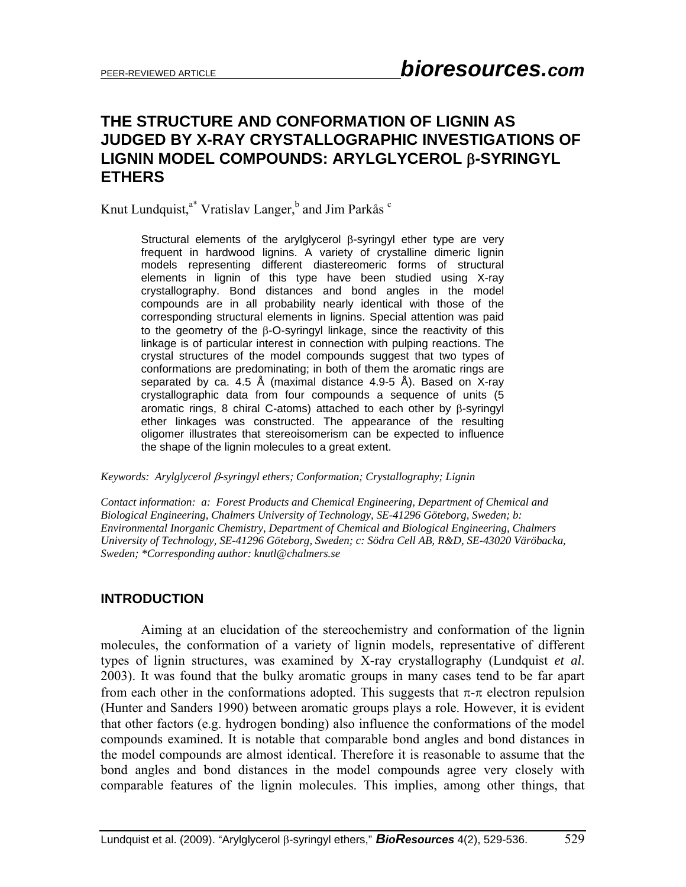# **THE STRUCTURE AND CONFORMATION OF LIGNIN AS JUDGED BY X-RAY CRYSTALLOGRAPHIC INVESTIGATIONS OF LIGNIN MODEL COMPOUNDS: ARYLGLYCEROL** β**-SYRINGYL ETHERS**

Knut Lundquist,<sup>a\*</sup> Vratislav Langer,<sup>b</sup> and Jim Parkås <sup>c</sup>

Structural elements of the arylglycerol β-syringyl ether type are very frequent in hardwood lignins. A variety of crystalline dimeric lignin models representing different diastereomeric forms of structural elements in lignin of this type have been studied using X-ray crystallography. Bond distances and bond angles in the model compounds are in all probability nearly identical with those of the corresponding structural elements in lignins. Special attention was paid to the geometry of the β-O-syringyl linkage, since the reactivity of this linkage is of particular interest in connection with pulping reactions. The crystal structures of the model compounds suggest that two types of conformations are predominating; in both of them the aromatic rings are separated by ca. 4.5 Å (maximal distance 4.9-5 Å). Based on X-ray crystallographic data from four compounds a sequence of units (5 aromatic rings, 8 chiral C-atoms) attached to each other by β-syringyl ether linkages was constructed. The appearance of the resulting oligomer illustrates that stereoisomerism can be expected to influence the shape of the lignin molecules to a great extent.

*Keywords: Arylglycerol* β*-syringyl ethers; Conformation; Crystallography; Lignin* 

*Contact information: a: Forest Products and Chemical Engineering, Department of Chemical and Biological Engineering, Chalmers University of Technology, SE-41296 Göteborg, Sweden; b: Environmental Inorganic Chemistry, Department of Chemical and Biological Engineering, Chalmers University of Technology, SE-41296 Göteborg, Sweden; c: Södra Cell AB, R&D, SE-43020 Väröbacka, Sweden; \*Corresponding author: knutl@chalmers.se* 

#### **INTRODUCTION**

 Aiming at an elucidation of the stereochemistry and conformation of the lignin molecules, the conformation of a variety of lignin models, representative of different types of lignin structures, was examined by X-ray crystallography (Lundquist *et al*. 2003). It was found that the bulky aromatic groups in many cases tend to be far apart from each other in the conformations adopted. This suggests that  $\pi$ - $\pi$  electron repulsion (Hunter and Sanders 1990) between aromatic groups plays a role. However, it is evident that other factors (e.g. hydrogen bonding) also influence the conformations of the model compounds examined. It is notable that comparable bond angles and bond distances in the model compounds are almost identical. Therefore it is reasonable to assume that the bond angles and bond distances in the model compounds agree very closely with comparable features of the lignin molecules. This implies, among other things, that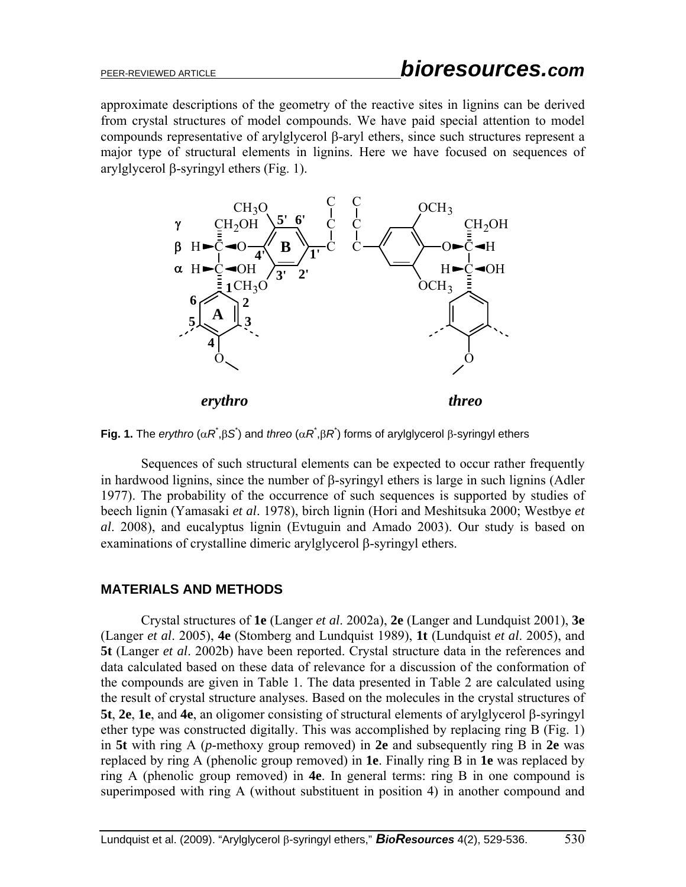approximate descriptions of the geometry of the reactive sites in lignins can be derived from crystal structures of model compounds. We have paid special attention to model compounds representative of arylglycerol β-aryl ethers, since such structures represent a major type of structural elements in lignins. Here we have focused on sequences of arylglycerol β-syringyl ethers (Fig. 1).



**Fig. 1.** The *erythro* ( $\alpha$ *R*<sup>\*</sup>, $\beta$ *S*<sup>\*</sup>) and *threo* ( $\alpha$ *R*<sup>\*</sup>, $\beta$ *R*<sup>\*</sup>) forms of arylglycerol  $\beta$ -syringyl ethers

Sequences of such structural elements can be expected to occur rather frequently in hardwood lignins, since the number of β-syringyl ethers is large in such lignins (Adler 1977). The probability of the occurrence of such sequences is supported by studies of beech lignin (Yamasaki *et al*. 1978), birch lignin (Hori and Meshitsuka 2000; Westbye *et al*. 2008), and eucalyptus lignin (Evtuguin and Amado 2003). Our study is based on examinations of crystalline dimeric arylglycerol β-syringyl ethers.

## **MATERIALS AND METHODS**

 Crystal structures of **1e** (Langer *et al*. 2002a), **2e** (Langer and Lundquist 2001), **3e** (Langer *et al*. 2005), **4e** (Stomberg and Lundquist 1989), **1t** (Lundquist *et al*. 2005), and **5t** (Langer *et al*. 2002b) have been reported. Crystal structure data in the references and data calculated based on these data of relevance for a discussion of the conformation of the compounds are given in Table 1. The data presented in Table 2 are calculated using the result of crystal structure analyses. Based on the molecules in the crystal structures of **5t**, **2e**, **1e**, and **4e**, an oligomer consisting of structural elements of arylglycerol β-syringyl ether type was constructed digitally. This was accomplished by replacing ring B (Fig. 1) in **5t** with ring A (*p*-methoxy group removed) in **2e** and subsequently ring B in **2e** was replaced by ring A (phenolic group removed) in **1e**. Finally ring B in **1e** was replaced by ring A (phenolic group removed) in **4e**. In general terms: ring B in one compound is superimposed with ring A (without substituent in position 4) in another compound and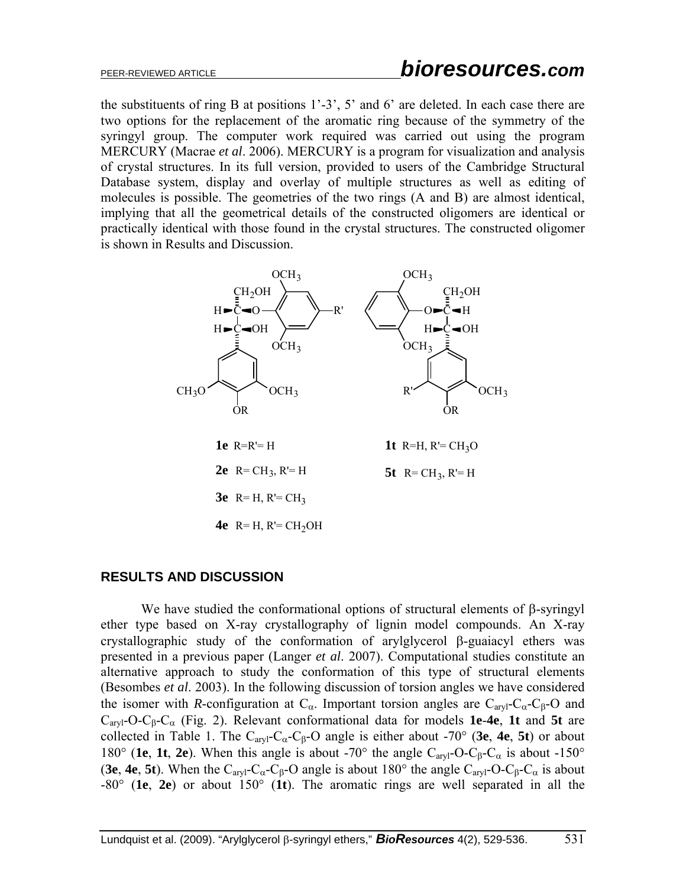the substituents of ring B at positions 1'-3', 5' and 6' are deleted. In each case there are two options for the replacement of the aromatic ring because of the symmetry of the syringyl group. The computer work required was carried out using the program MERCURY (Macrae *et al*. 2006). MERCURY is a program for visualization and analysis of crystal structures. In its full version, provided to users of the Cambridge Structural Database system, display and overlay of multiple structures as well as editing of molecules is possible. The geometries of the two rings (A and B) are almost identical, implying that all the geometrical details of the constructed oligomers are identical or practically identical with those found in the crystal structures. The constructed oligomer is shown in Results and Discussion.



#### **RESULTS AND DISCUSSION**

We have studied the conformational options of structural elements of  $\beta$ -syringyl ether type based on X-ray crystallography of lignin model compounds. An X-ray crystallographic study of the conformation of arylglycerol β-guaiacyl ethers was presented in a previous paper (Langer *et al*. 2007). Computational studies constitute an alternative approach to study the conformation of this type of structural elements (Besombes *et al*. 2003). In the following discussion of torsion angles we have considered the isomer with *R*-configuration at  $C_{\alpha}$ . Important torsion angles are  $C_{\alpha}$ - $C_{\beta}$ - $C_{\beta}$ - $O$  and Caryl-O-Cβ-Cα (Fig. 2). Relevant conformational data for models **1e**-**4e**, **1t** and **5t** are collected in Table 1. The  $C_{\alpha\alpha}C_{\beta}-C_{\beta}-O$  angle is either about -70° (3e, 4e, 5t) or about 180° (**1e**, **1t**, **2e**). When this angle is about -70° the angle C<sub>aryl</sub>-O-C<sub>β</sub>-C<sub>α</sub> is about -150° (**3e**, **4e**, **5t**). When the C<sub>aryl</sub>-C<sub>α</sub>-C<sub>β</sub>-O angle is about 180° the angle C<sub>aryl</sub>-O-C<sub>β</sub>-C<sub>α</sub> is about -80° (**1e**, **2e**) or about 150° (**1t**). The aromatic rings are well separated in all the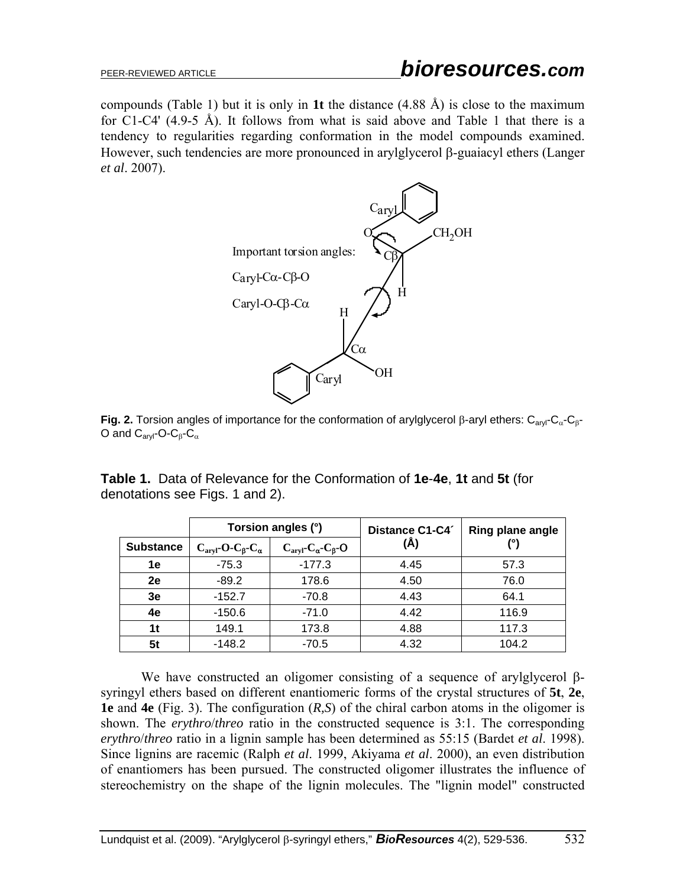compounds (Table 1) but it is only in **1t** the distance (4.88 Å) is close to the maximum for C1-C4' (4.9-5 Å). It follows from what is said above and Table 1 that there is a tendency to regularities regarding conformation in the model compounds examined. However, such tendencies are more pronounced in arylglycerol β-guaiacyl ethers (Langer *et al*. 2007).



**Fig. 2.** Torsion angles of importance for the conformation of arylglycerol β-aryl ethers: C<sub>aryl</sub>-C<sub>α</sub>-C<sub>β</sub>-O and  $C_{\text{avl}}$ -O-C $_{\beta}$ -C $_{\alpha}$ 

|                  | Torsion angles (°)                               |                                                   | Distance C1-C4 | Ring plane angle |  |
|------------------|--------------------------------------------------|---------------------------------------------------|----------------|------------------|--|
| <b>Substance</b> | $C_{\text{aryl}}$ -O- $C_{\beta}$ - $C_{\alpha}$ | $C_{\text{aryl}}$ - $C_{\alpha}$ - $C_{\beta}$ -O | (Å)            |                  |  |
| 1е               | $-75.3$                                          | $-177.3$                                          | 4.45           | 57.3             |  |
| 2e               | $-89.2$                                          | 178.6                                             | 4.50           | 76.0             |  |
| 3e               | $-152.7$                                         | $-70.8$                                           | 4.43           | 64.1             |  |
| 4e               | $-150.6$                                         | $-71.0$                                           | 4.42           | 116.9            |  |
| 1t               | 149.1                                            | 173.8                                             | 4.88           | 117.3            |  |
| 5t               | $-148.2$                                         | $-70.5$                                           | 4.32           | 104.2            |  |

**Table 1.** Data of Relevance for the Conformation of **1e**-**4e**, **1t** and **5t** (for denotations see Figs. 1 and 2).

We have constructed an oligomer consisting of a sequence of arylglycerol βsyringyl ethers based on different enantiomeric forms of the crystal structures of **5t**, **2e**, **1e** and **4e** (Fig. 3). The configuration (*R,S*) of the chiral carbon atoms in the oligomer is shown. The *erythro*/*threo* ratio in the constructed sequence is 3:1. The corresponding *erythro*/*threo* ratio in a lignin sample has been determined as 55:15 (Bardet *et al*. 1998). Since lignins are racemic (Ralph *et al*. 1999, Akiyama *et al*. 2000), an even distribution of enantiomers has been pursued. The constructed oligomer illustrates the influence of stereochemistry on the shape of the lignin molecules. The "lignin model" constructed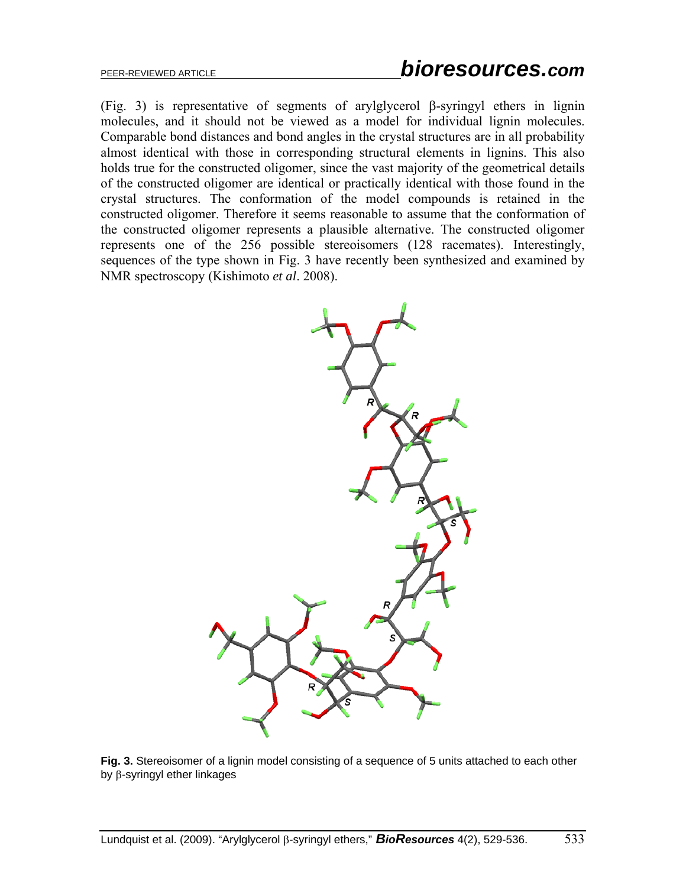(Fig. 3) is representative of segments of arylglycerol β-syringyl ethers in lignin molecules, and it should not be viewed as a model for individual lignin molecules. Comparable bond distances and bond angles in the crystal structures are in all probability almost identical with those in corresponding structural elements in lignins. This also holds true for the constructed oligomer, since the vast majority of the geometrical details of the constructed oligomer are identical or practically identical with those found in the crystal structures. The conformation of the model compounds is retained in the constructed oligomer. Therefore it seems reasonable to assume that the conformation of the constructed oligomer represents a plausible alternative. The constructed oligomer represents one of the 256 possible stereoisomers (128 racemates). Interestingly, sequences of the type shown in Fig. 3 have recently been synthesized and examined by NMR spectroscopy (Kishimoto *et al*. 2008).



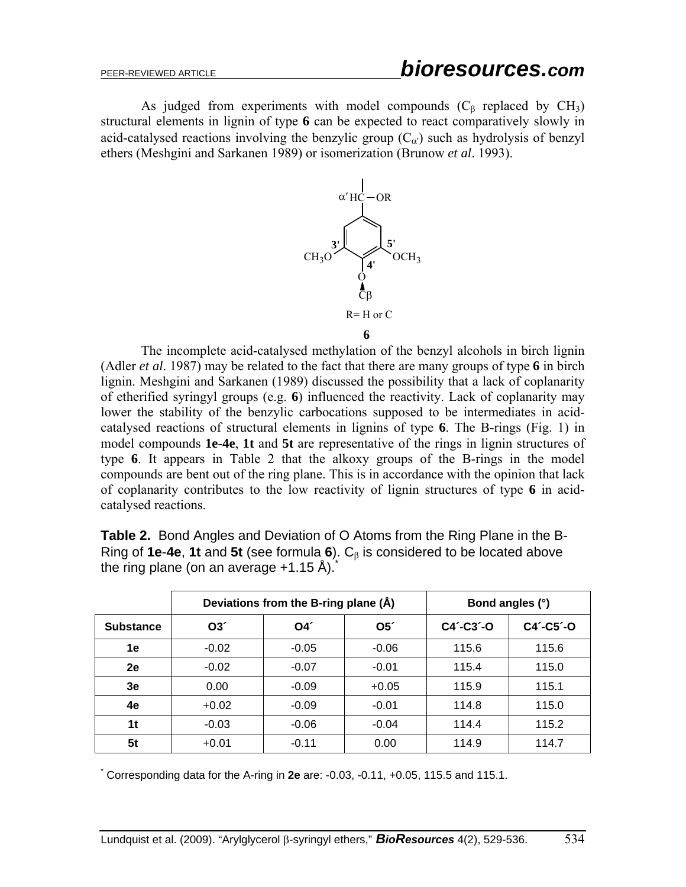As judged from experiments with model compounds  $(C<sub>β</sub>$  replaced by  $CH<sub>3</sub>$ ) structural elements in lignin of type **6** can be expected to react comparatively slowly in acid-catalysed reactions involving the benzylic group  $(C_{\alpha})$  such as hydrolysis of benzyl ethers (Meshgini and Sarkanen 1989) or isomerization (Brunow *et al*. 1993).



 The incomplete acid-catalysed methylation of the benzyl alcohols in birch lignin (Adler *et al*. 1987) may be related to the fact that there are many groups of type **6** in birch lignin. Meshgini and Sarkanen (1989) discussed the possibility that a lack of coplanarity of etherified syringyl groups (e.g. **6**) influenced the reactivity. Lack of coplanarity may lower the stability of the benzylic carbocations supposed to be intermediates in acidcatalysed reactions of structural elements in lignins of type **6**. The B-rings (Fig. 1) in model compounds **1e**-**4e**, **1t** and **5t** are representative of the rings in lignin structures of type **6**. It appears in Table 2 that the alkoxy groups of the B-rings in the model compounds are bent out of the ring plane. This is in accordance with the opinion that lack of coplanarity contributes to the low reactivity of lignin structures of type **6** in acidcatalysed reactions.

**Table 2.** Bond Angles and Deviation of O Atoms from the Ring Plane in the B-Ring of **1e**-**4e**, **1t** and **5t** (see formula **6**). Cβ is considered to be located above the ring plane (on an average  $+1.15$  Å).

|                  | Deviations from the B-ring plane (Å) |         |               | Bond angles (°) |                 |
|------------------|--------------------------------------|---------|---------------|-----------------|-----------------|
| <b>Substance</b> | O3'                                  | O4'     | $O5^{\prime}$ | $C4'$ -C3'-O    | $C4' - C5' - O$ |
| 1e               | $-0.02$                              | $-0.05$ | $-0.06$       | 115.6           | 115.6           |
| 2e               | $-0.02$                              | $-0.07$ | $-0.01$       | 115.4           | 115.0           |
| 3e               | 0.00                                 | $-0.09$ | $+0.05$       | 115.9           | 115.1           |
| 4е               | $+0.02$                              | $-0.09$ | $-0.01$       | 114.8           | 115.0           |
| 1t               | $-0.03$                              | $-0.06$ | $-0.04$       | 114.4           | 115.2           |
| 5t               | $+0.01$                              | $-0.11$ | 0.00          | 114.9           | 114.7           |

\* Corresponding data for the A-ring in **2e** are: -0.03, -0.11, +0.05, 115.5 and 115.1.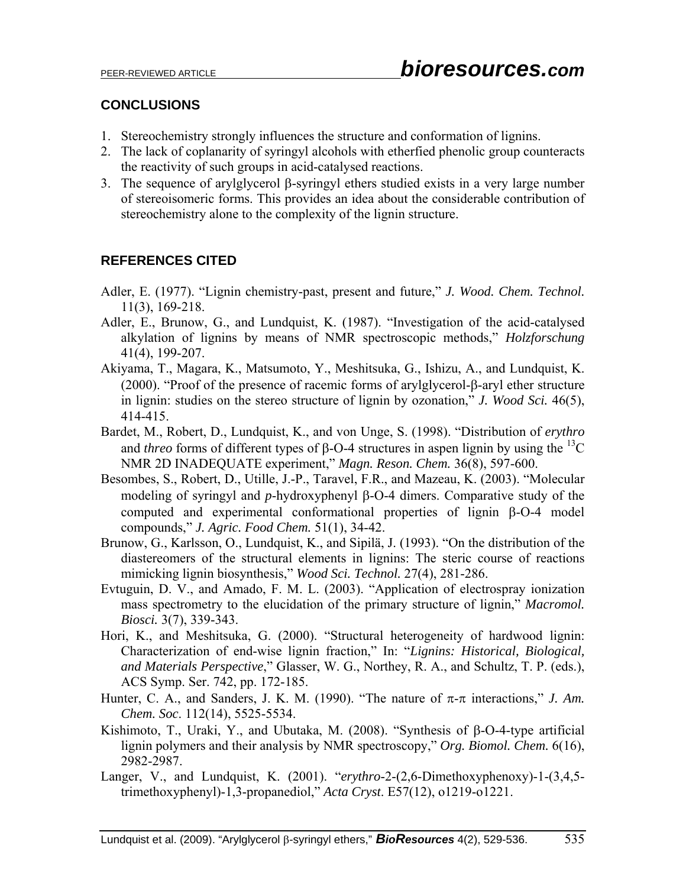## **CONCLUSIONS**

- 1. Stereochemistry strongly influences the structure and conformation of lignins.
- 2. The lack of coplanarity of syringyl alcohols with etherfied phenolic group counteracts the reactivity of such groups in acid-catalysed reactions.
- 3. The sequence of arylglycerol β-syringyl ethers studied exists in a very large number of stereoisomeric forms. This provides an idea about the considerable contribution of stereochemistry alone to the complexity of the lignin structure.

# **REFERENCES CITED**

- Adler, E. (1977). "Lignin chemistry-past, present and future," *J. Wood. Chem. Technol.* 11(3), 169-218.
- Adler, E., Brunow, G., and Lundquist, K. (1987). "Investigation of the acid-catalysed alkylation of lignins by means of NMR spectroscopic methods," *Holzforschung* 41(4), 199-207.
- Akiyama, T., Magara, K., Matsumoto, Y., Meshitsuka, G., Ishizu, A., and Lundquist, K. (2000). "Proof of the presence of racemic forms of arylglycerol-β-aryl ether structure in lignin: studies on the stereo structure of lignin by ozonation," *J. Wood Sci.* 46(5), 414-415.
- Bardet, M., Robert, D., Lundquist, K., and von Unge, S. (1998). "Distribution of *erythro* and *threo* forms of different types of  $\beta$ -O-4 structures in aspen lignin by using the <sup>13</sup>C NMR 2D INADEQUATE experiment," *Magn. Reson. Chem.* 36(8), 597-600.
- Besombes, S., Robert, D., Utille, J.-P., Taravel, F.R., and Mazeau, K. (2003). "Molecular modeling of syringyl and *p*-hydroxyphenyl β-O-4 dimers. Comparative study of the computed and experimental conformational properties of lignin β-O-4 model compounds," *J. Agric. Food Chem.* 51(1), 34-42.
- Brunow, G., Karlsson, O., Lundquist, K., and Sipilä, J. (1993). "On the distribution of the diastereomers of the structural elements in lignins: The steric course of reactions mimicking lignin biosynthesis," *Wood Sci. Technol.* 27(4), 281-286.
- Evtuguin, D. V., and Amado, F. M. L. (2003). "Application of electrospray ionization mass spectrometry to the elucidation of the primary structure of lignin," *Macromol. Biosci.* 3(7), 339-343.
- Hori, K., and Meshitsuka, G. (2000). "Structural heterogeneity of hardwood lignin: Characterization of end-wise lignin fraction," In: "*Lignins: Historical, Biological, and Materials Perspective*," Glasser, W. G., Northey, R. A., and Schultz, T. P. (eds.), ACS Symp. Ser. 742, pp. 172-185.
- Hunter, C. A., and Sanders, J. K. M. (1990). "The nature of  $\pi$ - $\pi$  interactions," *J. Am. Chem. Soc*. 112(14), 5525-5534.
- Kishimoto, T., Uraki, Y., and Ubutaka, M. (2008). "Synthesis of β-O-4-type artificial lignin polymers and their analysis by NMR spectroscopy," *Org. Biomol. Chem.* 6(16), 2982-2987.
- Langer, V., and Lundquist, K. (2001). "*erythro*-2-(2,6-Dimethoxyphenoxy)-1-(3,4,5 trimethoxyphenyl)-1,3-propanediol," *Acta Cryst*. E57(12), o1219-o1221.